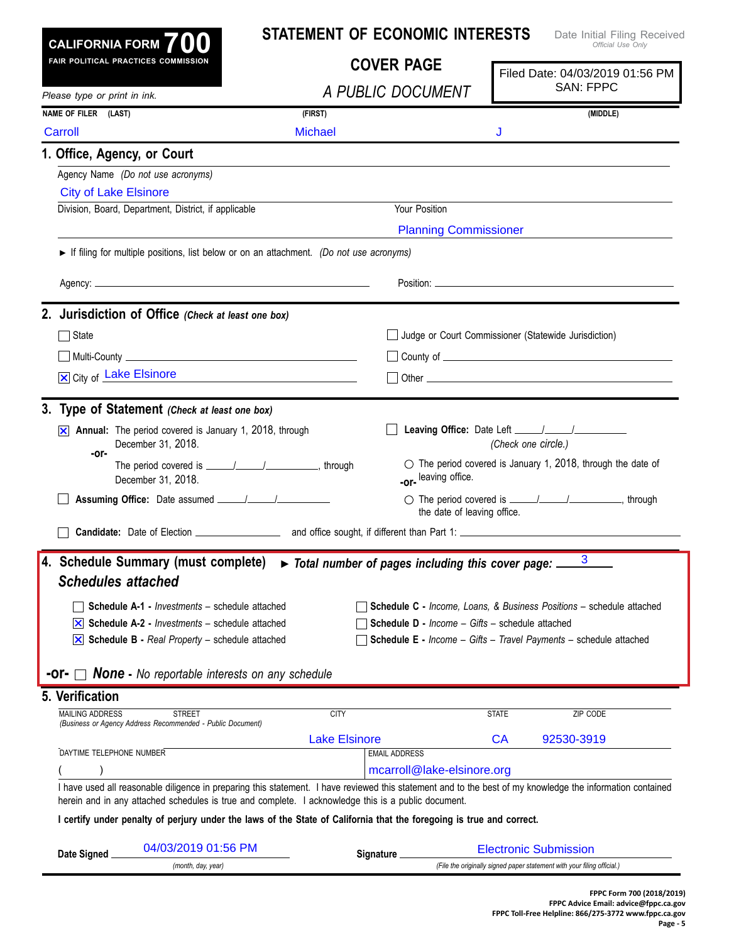| CALIFORNIA FORM $700$                                                                                                | <b>STATEMENT OF ECONOMIC INTERESTS</b>                                          | Date Initial Filing Received<br>Official Use Only                                                                                                          |
|----------------------------------------------------------------------------------------------------------------------|---------------------------------------------------------------------------------|------------------------------------------------------------------------------------------------------------------------------------------------------------|
| FAIR POLITICAL PRACTICES COMMISSION                                                                                  | <b>COVER PAGE</b>                                                               | Filed Date: 04/03/2019 01:56 PM<br><b>SAN: FPPC</b>                                                                                                        |
| Please type or print in ink.                                                                                         | A PUBLIC DOCUMENT                                                               |                                                                                                                                                            |
| NAME OF FILER (LAST)                                                                                                 | (FIRST)                                                                         | (MIDDLE)                                                                                                                                                   |
| Carroll                                                                                                              | <b>Michael</b>                                                                  | J                                                                                                                                                          |
| 1. Office, Agency, or Court                                                                                          |                                                                                 |                                                                                                                                                            |
| Agency Name (Do not use acronyms)                                                                                    |                                                                                 |                                                                                                                                                            |
| <b>City of Lake Elsinore</b>                                                                                         |                                                                                 |                                                                                                                                                            |
| Division, Board, Department, District, if applicable                                                                 | Your Position                                                                   |                                                                                                                                                            |
|                                                                                                                      |                                                                                 | <b>Planning Commissioner</b>                                                                                                                               |
| If filing for multiple positions, list below or on an attachment. (Do not use acronyms)                              |                                                                                 |                                                                                                                                                            |
|                                                                                                                      |                                                                                 |                                                                                                                                                            |
|                                                                                                                      |                                                                                 |                                                                                                                                                            |
| 2. Jurisdiction of Office (Check at least one box)                                                                   |                                                                                 |                                                                                                                                                            |
| State                                                                                                                |                                                                                 | Judge or Court Commissioner (Statewide Jurisdiction)                                                                                                       |
|                                                                                                                      |                                                                                 |                                                                                                                                                            |
| X City of Lake Elsinore                                                                                              | <u> 1980 - Johann Barbara, martxa alemaniar a</u>                               |                                                                                                                                                            |
|                                                                                                                      |                                                                                 |                                                                                                                                                            |
| 3. Type of Statement (Check at least one box)                                                                        |                                                                                 |                                                                                                                                                            |
| Annual: The period covered is January 1, 2018, through<br>$ \mathsf{x} $                                             |                                                                                 |                                                                                                                                                            |
| December 31, 2018.<br>-or-                                                                                           |                                                                                 | (Check one circle.)                                                                                                                                        |
|                                                                                                                      |                                                                                 | $\circlearrowright$ The period covered is January 1, 2018, through the date of                                                                             |
| December 31, 2018.                                                                                                   | -or-leaving office.                                                             |                                                                                                                                                            |
|                                                                                                                      |                                                                                 |                                                                                                                                                            |
|                                                                                                                      |                                                                                 | the date of leaving office.                                                                                                                                |
|                                                                                                                      |                                                                                 |                                                                                                                                                            |
| 4. Schedule Summary (must complete)                                                                                  | $\triangleright$ Total number of pages including this cover page: $\frac{3}{2}$ |                                                                                                                                                            |
| <b>Schedules attached</b>                                                                                            |                                                                                 |                                                                                                                                                            |
| <b>Schedule A-1 - Investments - schedule attached</b>                                                                |                                                                                 | <b>Schedule C</b> - Income, Loans, & Business Positions - schedule attached                                                                                |
| $ \mathsf{x} $ Schedule A-2 - <i>Investments</i> – schedule attached                                                 |                                                                                 | <b>Schedule D - Income - Gifts - schedule attached</b>                                                                                                     |
| $\overline{\mathsf{x}}$ Schedule B - Real Property – schedule attached                                               |                                                                                 | <b>Schedule E</b> - Income - Gifts - Travel Payments - schedule attached                                                                                   |
|                                                                                                                      |                                                                                 |                                                                                                                                                            |
| <b>None</b> - No reportable interests on any schedule<br>-or-                                                        |                                                                                 |                                                                                                                                                            |
| 5. Verification                                                                                                      |                                                                                 |                                                                                                                                                            |
| <b>MAILING ADDRESS</b><br><b>STREET</b>                                                                              | <b>CITY</b>                                                                     | <b>STATE</b><br>ZIP CODE                                                                                                                                   |
| (Business or Agency Address Recommended - Public Document)                                                           | <b>Lake Elsinore</b>                                                            | CA<br>92530-3919                                                                                                                                           |
| DAYTIME TELEPHONE NUMBER                                                                                             | <b>EMAIL ADDRESS</b>                                                            |                                                                                                                                                            |
|                                                                                                                      | mcarroll@lake-elsinore.org                                                      |                                                                                                                                                            |
| herein and in any attached schedules is true and complete. I acknowledge this is a public document.                  |                                                                                 | I have used all reasonable diligence in preparing this statement. I have reviewed this statement and to the best of my knowledge the information contained |
| I certify under penalty of perjury under the laws of the State of California that the foregoing is true and correct. |                                                                                 |                                                                                                                                                            |
|                                                                                                                      |                                                                                 |                                                                                                                                                            |
| 04/03/2019 01:56 PM<br>Date Signed                                                                                   | Signature_                                                                      | <b>Electronic Submission</b>                                                                                                                               |
| (month, day, year)                                                                                                   |                                                                                 | (File the originally signed paper statement with your filing official.)                                                                                    |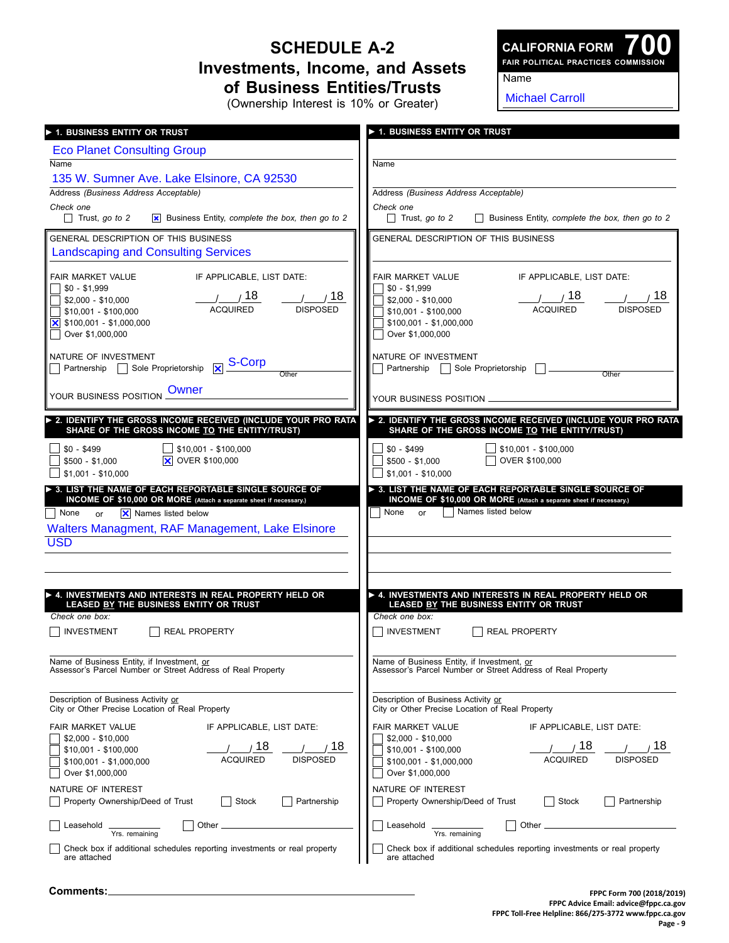## **Schedule A-2 Investments, Income, and Assets of Business Entities/Trusts**

**700 Fair Political Practices Commission CALIFORNIA FORM**

Name

(Ownership Interest is 10% or Greater)

Michael Carroll

| 1. BUSINESS ENTITY OR TRUST                                                                                                      | <b>1. BUSINESS ENTITY OR TRUST</b>                                                                        |
|----------------------------------------------------------------------------------------------------------------------------------|-----------------------------------------------------------------------------------------------------------|
| <b>Eco Planet Consulting Group</b>                                                                                               |                                                                                                           |
| Name                                                                                                                             | Name                                                                                                      |
| 135 W. Sumner Ave. Lake Elsinore, CA 92530<br>Address (Business Address Acceptable)                                              | Address (Business Address Acceptable)                                                                     |
| Check one                                                                                                                        | Check one                                                                                                 |
| $\Box$ Trust, go to 2<br>$\vert x \vert$ Business Entity, complete the box, then go to 2                                         | $\Box$ Trust, go to 2<br>Business Entity, complete the box, then go to 2                                  |
| <b>GENERAL DESCRIPTION OF THIS BUSINESS</b>                                                                                      | GENERAL DESCRIPTION OF THIS BUSINESS                                                                      |
| <b>Landscaping and Consulting Services</b>                                                                                       |                                                                                                           |
| IF APPLICABLE. LIST DATE:<br><b>FAIR MARKET VALUE</b>                                                                            | IF APPLICABLE, LIST DATE:<br><b>FAIR MARKET VALUE</b>                                                     |
| $$0 - $1,999$<br>$1/2$ 18<br>$\frac{1}{2}$ 18                                                                                    | $$0 - $1,999$<br>$\frac{1}{1}$ 18<br>, 18                                                                 |
| $$2,000 - $10,000$<br><b>ACQUIRED</b><br><b>DISPOSED</b><br>$$10,001 - $100,000$                                                 | $$2,000 - $10,000$<br><b>ACQUIRED</b><br><b>DISPOSED</b><br>$$10,001 - $100,000$                          |
| $\overline{\mathsf{X}}$ \$100,001 - \$1,000,000                                                                                  | $$100,001 - $1,000,000$                                                                                   |
| Over \$1,000,000                                                                                                                 | Over \$1,000,000                                                                                          |
| NATURE OF INVESTMENT<br>$\overline{\mathsf{x}}$ S-Corp<br>Partnership Sole Proprietorship                                        | NATURE OF INVESTMENT<br>Partnership   Sole Proprietorship                                                 |
| Other                                                                                                                            | Other                                                                                                     |
| <b>Owner</b><br>YOUR BUSINESS POSITION                                                                                           | YOUR BUSINESS POSITION                                                                                    |
| 2. IDENTIFY THE GROSS INCOME RECEIVED (INCLUDE YOUR PRO RATA                                                                     | > 2. IDENTIFY THE GROSS INCOME RECEIVED (INCLUDE YOUR PRO RATA                                            |
| SHARE OF THE GROSS INCOME TO THE ENTITY/TRUST)                                                                                   | SHARE OF THE GROSS INCOME TO THE ENTITY/TRUST)                                                            |
| $$0 - $499$<br>\$10.001 - \$100.000<br><b>X</b> OVER \$100,000                                                                   | \$10,001 - \$100,000<br>$$0 - $499$<br>OVER \$100,000                                                     |
| $$500 - $1,000$<br>$$1,001 - $10,000$                                                                                            | $$500 - $1,000$<br>$$1,001 - $10,000$                                                                     |
| $\triangleright$ 3. LIST THE NAME OF EACH REPORTABLE SINGLE SOURCE OF                                                            | > 3. LIST THE NAME OF EACH REPORTABLE SINGLE SOURCE OF                                                    |
| INCOME OF \$10,000 OR MORE (Attach a separate sheet if necessary.)<br>$\overline{\mathsf{x}}$ Names listed below<br>  None<br>or | INCOME OF \$10,000 OR MORE (Attach a separate sheet if necessary.)<br>Names listed below<br>None<br>or    |
| Walters Managment, RAF Management, Lake Elsinore                                                                                 |                                                                                                           |
| <b>USD</b>                                                                                                                       |                                                                                                           |
|                                                                                                                                  |                                                                                                           |
|                                                                                                                                  |                                                                                                           |
| ▶ 4. INVESTMENTS AND INTERESTS IN REAL PROPERTY HELD OR<br>LEASED BY THE BUSINESS ENTITY OR TRUST                                | > 4. INVESTMENTS AND INTERESTS IN REAL PROPERTY HELD OR<br>LEASED BY THE BUSINESS ENTITY OR TRUST         |
| Check one box:                                                                                                                   | Check one box:                                                                                            |
| <b>INVESTMENT</b><br><b>REAL PROPERTY</b>                                                                                        | <b>INVESTMENT</b><br><b>REAL PROPERTY</b>                                                                 |
|                                                                                                                                  |                                                                                                           |
| Name of Business Entity, if Investment, or<br>Assessor's Parcel Number or Street Address of Real Property                        | Name of Business Entity, if Investment, or<br>Assessor's Parcel Number or Street Address of Real Property |
|                                                                                                                                  |                                                                                                           |
| Description of Business Activity or<br>City or Other Precise Location of Real Property                                           | Description of Business Activity or<br>City or Other Precise Location of Real Property                    |
| <b>FAIR MARKET VALUE</b><br>IF APPLICABLE, LIST DATE:                                                                            | FAIR MARKET VALUE<br>IF APPLICABLE, LIST DATE:                                                            |
| $$2,000 - $10,000$<br>18<br>18                                                                                                   | $$2,000 - $10,000$<br>18<br>18                                                                            |
| $$10,001 - $100,000$<br><b>ACQUIRED</b><br><b>DISPOSED</b><br>$$100,001 - $1,000,000$                                            | $$10,001 - $100,000$<br><b>ACQUIRED</b><br><b>DISPOSED</b><br>$$100,001 - $1,000,000$                     |
| Over \$1,000,000                                                                                                                 | Over \$1,000,000                                                                                          |
| NATURE OF INTEREST                                                                                                               | NATURE OF INTEREST                                                                                        |
| Property Ownership/Deed of Trust<br>Stock<br>Partnership                                                                         | Property Ownership/Deed of Trust<br>Stock<br>Partnership<br>$\overline{\phantom{0}}$                      |
| Other $\equiv$<br>Leasehold<br>Yrs. remaining                                                                                    | Leasehold _<br>Other $\overline{\phantom{0}}$<br>Yrs. remaining                                           |
| Check box if additional schedules reporting investments or real property<br>are attached                                         | Check box if additional schedules reporting investments or real property<br>are attached                  |